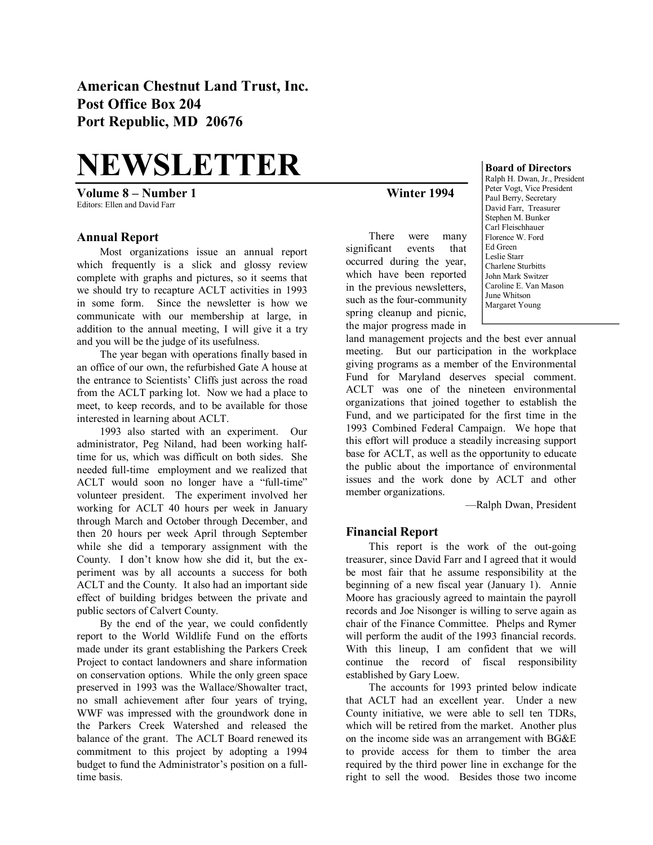**American Chestnut Land Trust, Inc. Post Office Box 204 Port Republic, MD 20676** 

# **NEWSLETTER**

**Volume 8 – Number 1 Winter 1994** Editors: Ellen and David Farr

#### **Annual Report**

Most organizations issue an annual report which frequently is a slick and glossy review complete with graphs and pictures, so it seems that we should try to recapture ACLT activities in 1993 in some form. Since the newsletter is how we communicate with our membership at large, in addition to the annual meeting, I will give it a try and you will be the judge of its usefulness.

The year began with operations finally based in an office of our own, the refurbished Gate A house at the entrance to Scientists' Cliffs just across the road from the ACLT parking lot. Now we had a place to meet, to keep records, and to be available for those interested in learning about ACLT.

1993 also started with an experiment. Our administrator, Peg Niland, had been working half time for us, which was difficult on both sides. She needed full-time employment and we realized that ACLT would soon no longer have a "full-time" volunteer president. The experiment involved her working for ACLT 40 hours per week in January through March and October through December, and then 20 hours per week April through September while she did a temporary assignment with the County. I don't know how she did it, but the ex periment was by all accounts a success for both ACLT and the County. It also had an important side effect of building bridges between the private and public sectors of Calvert County.

By the end of the year, we could confidently report to the World Wildlife Fund on the efforts made under its grant establishing the Parkers Creek Project to contact landowners and share information on conservation options. While the only green space preserved in 1993 was the Wallace/Showalter tract, no small achievement after four years of trying, WWF was impressed with the groundwork done in the Parkers Creek Watershed and released the balance of the grant. The ACLT Board renewed its commitment to this project by adopting a 1994 budget to fund the Administrator's position on a full time basis.

There were many significant events that occurred during the year, which have been reported in the previous newsletters, such as the four-community spring cleanup and picnic, the major progress made in

#### **Board of Directors**

Ralph H. Dwan, Jr., President Peter Vogt, Vice President Paul Berry, Secretary David Farr, Treasurer Stephen M. Bunker Carl Fleischhauer Florence W. Ford Ed Green Leslie Starr Charlene Sturbitts John Mark Switzer Caroline E. Van Mason June Whitson Margaret Young

land management projects and the best ever annual meeting. But our participation in the workplace giving programs as a member of the Environmental Fund for Maryland deserves special comment. ACLT was one of the nineteen environmental organizations that joined together to establish the Fund, and we participated for the first time in the 1993 Combined Federal Campaign. We hope that this effort will produce a steadily increasing support base for ACLT, as well as the opportunity to educate the public about the importance of environmental issues and the work done by ACLT and other member organizations.

—Ralph Dwan, President

#### **Financial Report**

This report is the work of the out-going treasurer, since David Farr and I agreed that it would be most fair that he assume responsibility at the beginning of a new fiscal year (January 1). Annie Moore has graciously agreed to maintain the payroll records and Joe Nisonger is willing to serve again as chair of the Finance Committee. Phelps and Rymer will perform the audit of the 1993 financial records. With this lineup, I am confident that we will continue the record of fiscal responsibility established by Gary Loew.

The accounts for 1993 printed below indicate that ACLT had an excellent year. Under a new County initiative, we were able to sell ten TDRs, which will be retired from the market. Another plus on the income side was an arrangement with BG&E to provide access for them to timber the area required by the third power line in exchange for the right to sell the wood. Besides those two income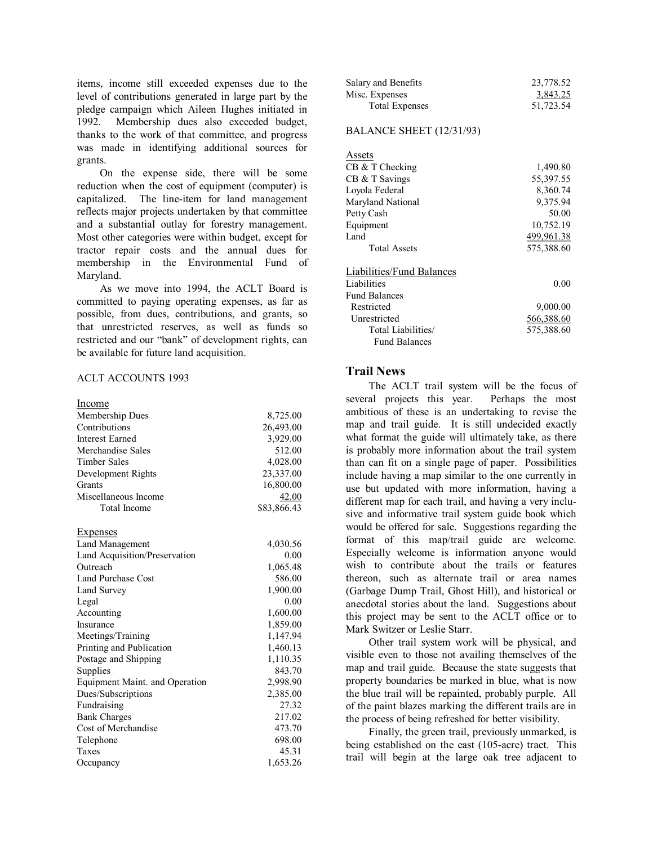items, income still exceeded expenses due to the level of contributions generated in large part by the pledge campaign which Aileen Hughes initiated in 1992. Membership dues also exceeded budget, thanks to the work of that committee, and progress was made in identifying additional sources for

grants.On the expense side, there will be some reduction when the cost of equipment (computer) is capitalized. The line-item for land management reflects major projects undertaken by that committee and a substantial outlay for forestry management. Most other categories were within budget, except for tractor repair costs and the annual dues for membership in the Environmental Fund of Maryland.

As we move into 1994, the ACLT Board is committed to paying operating expenses, as far as possible, from dues, contributions, and grants, so that unrestricted reserves, as well as funds so restricted and our "bank" of development rights, can be available for future land acquisition.

#### ACLT ACCOUNTS 1993

| Income                         |             |
|--------------------------------|-------------|
| Membership Dues                | 8,725.00    |
| Contributions                  | 26,493.00   |
| <b>Interest Earned</b>         | 3,929.00    |
| Merchandise Sales              | 512.00      |
| <b>Timber Sales</b>            | 4,028.00    |
| Development Rights             | 23,337.00   |
| <b>Grants</b>                  | 16,800.00   |
| Miscellaneous Income           | 42.00       |
| <b>Total Income</b>            | \$83,866.43 |
| Expenses                       |             |
| <b>Land Management</b>         | 4,030.56    |
| Land Acquisition/Preservation  | 0.00        |
| Outreach                       | 1,065.48    |
| Land Purchase Cost             | 586.00      |
| Land Survey                    | 1,900.00    |
| Legal                          | 0.00        |
| Accounting                     | 1,600.00    |
| Insurance                      | 1,859.00    |
| Meetings/Training              | 1,147.94    |
| Printing and Publication       | 1,460.13    |
| Postage and Shipping           | 1,110.35    |
| Supplies                       | 843.70      |
| Equipment Maint. and Operation | 2,998.90    |
| Dues/Subscriptions             | 2,385.00    |
| Fundraising                    | 27.32       |
| <b>Bank Charges</b>            | 217.02      |
| Cost of Merchandise            | 473.70      |
| Telephone                      | 698.00      |
| Taxes                          | 45.31       |
| Occupancy                      | 1,653.26    |

| Salary and Benefits   | 23,778.52 |
|-----------------------|-----------|
| Misc. Expenses        | 3,843.25  |
| <b>Total Expenses</b> | 51,723.54 |

#### BALANCE SHEET (12/31/93)

| Assets                    |            |
|---------------------------|------------|
| $CB & T$ Checking         | 1,490.80   |
| CB & T Savings            | 55,397.55  |
| Loyola Federal            | 8,360.74   |
| Maryland National         | 9,375.94   |
| Petty Cash                | 50.00      |
| Equipment                 | 10,752.19  |
| Land                      | 499,961.38 |
| <b>Total Assets</b>       | 575,388.60 |
| Liabilities/Fund Balances |            |
| Liabilities               | 0.00       |
| <b>Fund Balances</b>      |            |
| Restricted                | 9,000.00   |
| Unrestricted              | 566,388.60 |
| Total Liabilities/        | 575,388.60 |
| <b>Fund Balances</b>      |            |

#### **Trail News**

The ACLT trail system will be the focus of several projects this year. Perhaps the most ambitious of these is an undertaking to revise the map and trail guide. It is still undecided exactly what format the guide will ultimately take, as there is probably more information about the trail system than can fit on a single page of paper. Possibilities include having a map similar to the one currently in use but updated with more information, having a different map for each trail, and having a very inclu sive and informative trail system guide book which would be offered for sale. Suggestions regarding the format of this map/trail guide are welcome. Especially welcome is information anyone would wish to contribute about the trails or features thereon, such as alternate trail or area names (Garbage Dump Trail, Ghost Hill), and historical or anecdotal stories about the land. Suggestions about this project may be sent to the ACLT office or to Mark Switzer or Leslie Starr.

Other trail system work will be physical, and visible even to those not availing themselves of the map and trail guide. Because the state suggests that property boundaries be marked in blue, what is now the blue trail will be repainted, probably purple. All of the paint blazes marking the different trails are in the process of being refreshed for better visibility.

Finally, the green trail, previously unmarked, is being established on the east (105-acre) tract. This trail will begin at the large oak tree adjacent to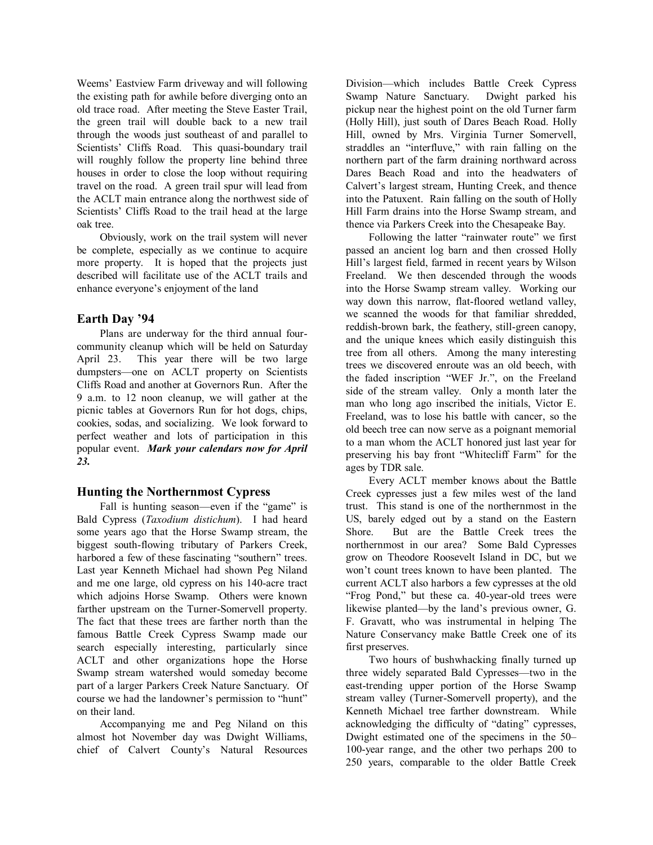Weems' Eastview Farm driveway and will following the existing path for awhile before diverging onto an old trace road. After meeting the Steve Easter Trail, the green trail will double back to a new trail through the woods just southeast of and parallel to Scientists' Cliffs Road. This quasi-boundary trail will roughly follow the property line behind three houses in order to close the loop without requiring travel on the road. A green trail spur will lead from the ACLT main entrance along the northwest side of Scientists' Cliffs Road to the trail head at the large oak tree.

Obviously, work on the trail system will never be complete, especially as we continue to acquire more property. It is hoped that the projects just described will facilitate use of the ACLT trails and enhance everyone's enjoyment of the land

# **Earth Day '94**

Plans are underway for the third annual four community cleanup which will be held on Saturday April 23. This year there will be two large dumpsters—one on ACLT property on Scientists Cliffs Road and another at Governors Run. After the 9 a.m. to 12 noon cleanup, we will gather at the picnic tables at Governors Run for hot dogs, chips, cookies, sodas, and socializing. We look forward to perfect weather and lots of participation in this popular event. *Mark your calendars now for April 23.*

#### **Hunting the Northernmost Cypress**

Fall is hunting season—even if the "game" is Bald Cypress (*Taxodium distichum*). I had heard some years ago that the Horse Swamp stream, the biggest south-flowing tributary of Parkers Creek, harbored a few of these fascinating "southern" trees. Last year Kenneth Michael had shown Peg Niland and me one large, old cypress on his 140-acre tract which adjoins Horse Swamp. Others were known farther upstream on the Turner-Somervell property. The fact that these trees are farther north than the famous Battle Creek Cypress Swamp made our search especially interesting, particularly since ACLT and other organizations hope the Horse Swamp stream watershed would someday become part of a larger Parkers Creek Nature Sanctuary. Of course we had the landowner's permission to "hunt" on their land.

Accompanying me and Peg Niland on this almost hot November day was Dwight Williams, chief of Calvert County's Natural Resources Division—which includes Battle Creek Cypress Swamp Nature Sanctuary. Dwight parked his pickup near the highest point on the old Turner farm (Holly Hill), just south of Dares Beach Road. Holly Hill, owned by Mrs. Virginia Turner Somervell, straddles an "interfluve," with rain falling on the northern part of the farm draining northward across Dares Beach Road and into the headwaters of Calvert's largest stream, Hunting Creek, and thence into the Patuxent. Rain falling on the south of Holly Hill Farm drains into the Horse Swamp stream, and thence via Parkers Creek into the Chesapeake Bay.

Following the latter "rainwater route" we first passed an ancient log barn and then crossed Holly Hill's largest field, farmed in recent years by Wilson Freeland. We then descended through the woods into the Horse Swamp stream valley. Working our way down this narrow, flat-floored wetland valley, we scanned the woods for that familiar shredded, reddish-brown bark, the feathery, still-green canopy, and the unique knees which easily distinguish this tree from all others. Among the many interesting trees we discovered enroute was an old beech, with the faded inscription "WEF Jr.", on the Freeland side of the stream valley. Only a month later the man who long ago inscribed the initials, Victor E. Freeland, was to lose his battle with cancer, so the old beech tree can now serve as a poignant memorial to a man whom the ACLT honored just last year for preserving his bay front "Whitecliff Farm" for the ages by TDR sale.

Every ACLT member knows about the Battle Creek cypresses just a few miles west of the land trust. This stand is one of the northernmost in the US, barely edged out by a stand on the Eastern Shore. But are the Battle Creek trees the northernmost in our area? Some Bald Cypresses grow on Theodore Roosevelt Island in DC, but we won't count trees known to have been planted. The current ACLT also harbors a few cypresses at the old "Frog Pond," but these ca. 40-year-old trees were likewise planted—by the land's previous owner, G. F. Gravatt, who was instrumental in helping The Nature Conservancy make Battle Creek one of its first preserves.

Two hours of bushwhacking finally turned up three widely separated Bald Cypresses—two in the east-trending upper portion of the Horse Swamp stream valley (Turner-Somervell property), and the Kenneth Michael tree farther downstream. While acknowledging the difficulty of "dating" cypresses, Dwight estimated one of the specimens in the 50–  $100$ -year range, and the other two perhaps  $200$  to 250 years, comparable to the older Battle Creek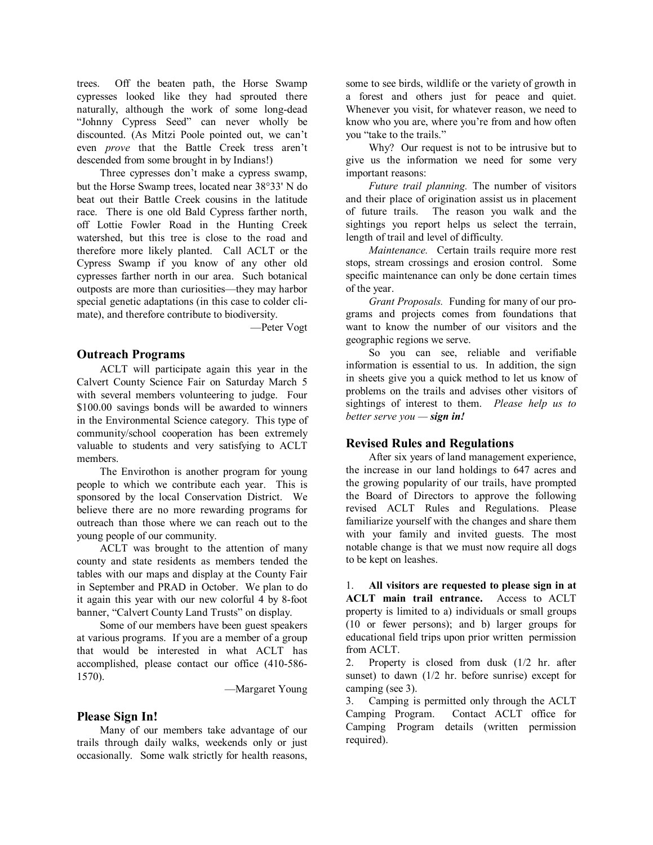trees. Off the beaten path, the Horse Swamp cypresses looked like they had sprouted there naturally, although the work of some long-dead "Johnny Cypress Seed" can never wholly be discounted. (As Mitzi Poole pointed out, we can't even *prove* that the Battle Creek tress aren't descended from some brought in by Indians!)

Three cypresses don't make a cypress swamp, but the Horse Swamp trees, located near 38°33' N do beat out their Battle Creek cousins in the latitude race. There is one old Bald Cypress farther north, off Lottie Fowler Road in the Hunting Creek watershed, but this tree is close to the road and therefore more likely planted. Call ACLT or the Cypress Swamp if you know of any other old cypresses farther north in our area. Such botanical outposts are more than curiosities—they may harbor special genetic adaptations (in this case to colder cli mate), and therefore contribute to biodiversity.

—Peter Vogt

# **Outreach Programs**

ACLT will participate again this year in the Calvert County Science Fair on Saturday March 5 with several members volunteering to judge. Four \$100.00 savings bonds will be awarded to winners in the Environmental Science category. This type of community/school cooperation has been extremely valuable to students and very satisfying to ACLT members.

The Envirothon is another program for young people to which we contribute each year. This is sponsored by the local Conservation District. We believe there are no more rewarding programs for outreach than those where we can reach out to the young people of our community.

ACLT was brought to the attention of many county and state residents as members tended the tables with our maps and display at the County Fair in September and PRAD in October. We plan to do it again this year with our new colorful 4 by 8-foot banner, "Calvert County Land Trusts" on display.

Some of our members have been guest speakers at various programs. If you are a member of a group that would be interested in what ACLT has accomplished, please contact our office (410-586-1570).

—Margaret Young

# **Please Sign In!**

Many of our members take advantage of our trails through daily walks, weekends only or just occasionally. Some walk strictly for health reasons, some to see birds, wildlife or the variety of growth in a forest and others just for peace and quiet. Whenever you visit, for whatever reason, we need to know who you are, where you're from and how often you "take to the trails."

Why? Our request is not to be intrusive but to give us the information we need for some very important reasons:

*Future trail planning.* The number of visitors and their place of origination assist us in placement of future trails. The reason you walk and the sightings you report helps us select the terrain, length of trail and level of difficulty.

*Maintenance.* Certain trails require more rest stops, stream crossings and erosion control. Some specific maintenance can only be done certain times of the year.

*Grant Proposals.* Funding for many of our pro grams and projects comes from foundations that want to know the number of our visitors and the geographic regions we serve.

So you can see, reliable and verifiable information is essential to us. In addition, the sign in sheets give you a quick method to let us know of problems on the trails and advises other visitors of sightings of interest to them. Please help us to *better serve you — sign in!*

# **Revised Rules and Regulations**

After six years of land management experience, the increase in our land holdings to 647 acres and the growing popularity of our trails, have prompted the Board of Directors to approve the following revised ACLT Rules and Regulations. Please familiarize yourself with the changes and share them with your family and invited guests. The most notable change is that we must now require all dogs to be kept on leashes.

1. **All visitors are requested to please sign in at ACLT main trail entrance.** Access to ACLT property is limited to a) individuals or small groups (10 or fewer persons); and b) larger groups for educational field trips upon prior written permission from ACLT.

2. Property is closed from dusk (1/2 hr. after sunset) to dawn (1/2 hr. before sunrise) except for camping (see 3).

3. Camping is permitted only through the ACLT Camping Program. Contact ACLT office for Camping Program details (written permission required).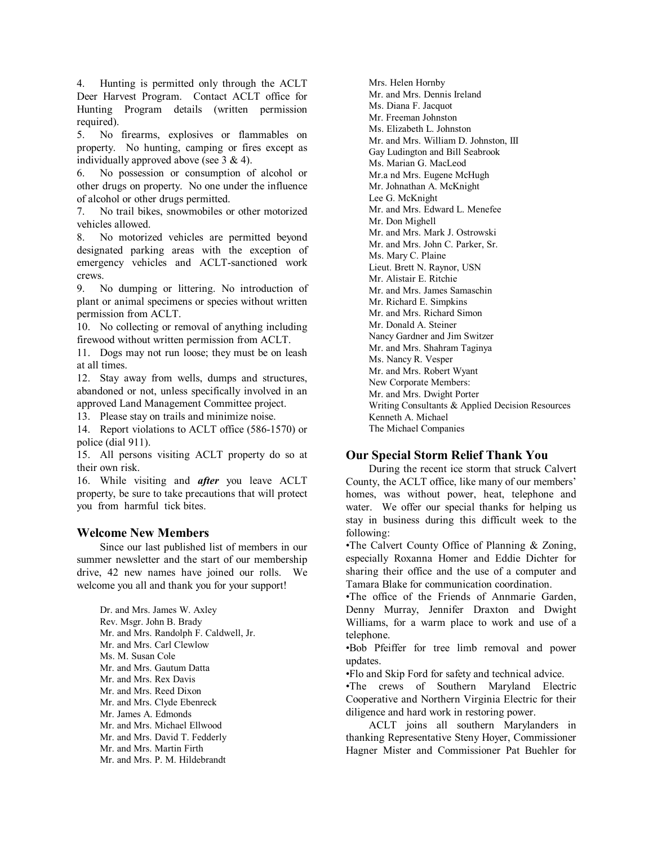4. Hunting is permitted only through the ACLT Deer Harvest Program. Contact ACLT office for Hunting Program details (written permission required).

5. No firearms, explosives or flammables on property. No hunting, camping or fires except as individually approved above (see 3 & 4).

6. No possession or consumption of alcohol or other drugs on property. No one under the influence of alcohol or other drugs permitted.

7. No trail bikes, snowmobiles or other motorized vehicles allowed.

8. No motorized vehicles are permitted beyond designated parking areas with the exception of emergency vehicles and ACLT-sanctioned work crews.

9. No dumping or littering. No introduction of plant or animal specimens or species without written permission from ACLT.

10. No collecting or removal of anything including firewood without written permission from ACLT.

11. Dogs may not run loose; they must be on leash at all times.

12. Stay away from wells, dumps and structures, abandoned or not, unless specifically involved in an approved Land Management Committee project.

13. Please stay on trails and minimize noise.

14. Report violations to ACLT office (586-1570) or police (dial 911).

15. All persons visiting ACLT property do so at their own risk.

16. While visiting and *after* you leave ACLT property, be sure to take precautions that will protect you from harmful tick bites.

# **Welcome New Members**

Since our last published list of members in our summer newsletter and the start of our membership drive, 42 new names have joined our rolls. We welcome you all and thank you for your support!

Dr. and Mrs. James W. Axley Rev. Msgr. John B. Brady Mr. and Mrs. Randolph F. Caldwell, Jr. Mr. and Mrs. Carl Clewlow Ms. M. Susan Cole Mr. and Mrs. Gautum Datta Mr. and Mrs. Rex Davis Mr. and Mrs. Reed Dixon Mr. and Mrs. Clyde Ebenreck Mr. James A. Edmonds Mr. and Mrs. Michael Ellwood Mr. and Mrs. David T. Fedderly Mr. and Mrs. Martin Firth Mr. and Mrs. P. M. Hildebrandt

Mrs. Helen Hornby Mr. and Mrs. Dennis Ireland Ms. Diana F. Jacquot Mr. Freeman Johnston Ms. Elizabeth L. Johnston Mr. and Mrs. William D. Johnston, III Gay Ludington and Bill Seabrook Ms. Marian G. MacLeod Mr.a nd Mrs. Eugene McHugh Mr. Johnathan A. McKnight Lee G. McKnight Mr. and Mrs. Edward L. Menefee Mr. Don Mighell Mr. and Mrs. Mark J. Ostrowski Mr. and Mrs. John C. Parker, Sr. Ms. Mary C. Plaine Lieut. Brett N. Raynor, USN Mr. Alistair E. Ritchie Mr. and Mrs. James Samaschin Mr. Richard E. Simpkins Mr. and Mrs. Richard Simon Mr. Donald A. Steiner Nancy Gardner and Jim Switzer Mr. and Mrs. Shahram Taginya Ms. Nancy R. Vesper Mr. and Mrs. Robert Wyant New Corporate Members: Mr. and Mrs. Dwight Porter Writing Consultants & Applied Decision Resources Kenneth A. Michael The Michael Companies

# **Our Special Storm Relief Thank You**

During the recent ice storm that struck Calvert County, the ACLT office, like many of our members' homes, was without power, heat, telephone and water. We offer our special thanks for helping us stay in business during this difficult week to the following:

•The Calvert County Office of Planning & Zoning, especially Roxanna Homer and Eddie Dichter for sharing their office and the use of a computer and Tamara Blake for communication coordination.

•The office of the Friends of Annmarie Garden, Denny Murray, Jennifer Draxton and Dwight Williams, for a warm place to work and use of a telephone.

•Bob Pfeiffer for tree limb removal and power updates.

•Flo and Skip Ford for safety and technical advice.

•The crews of Southern Maryland Electric Cooperative and Northern Virginia Electric for their diligence and hard work in restoring power.

ACLT joins all southern Marylanders in thanking Representative Steny Hoyer, Commissioner Hagner Mister and Commissioner Pat Buehler for